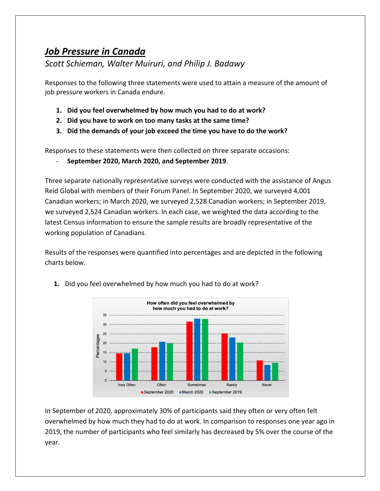## *Job Pressure in Canada*

## *Scott Schieman, Walter Muiruri, and Philip J. Badawy*

Responses to the following three statements were used to attain a measure of the amount of job pressure workers in Canada endure.

- **1. Did you feel overwhelmed by how much you had to do at work?**
- **2. Did you have to work on too many tasks at the same time?**
- **3. Did the demands of your job exceed the time you have to do the work?**

Responses to these statements were then collected on three separate occasions:

- **September 2020, March 2020, and September 2019**.

Three separate nationally representative surveys were conducted with the assistance of Angus Reid Global with members of their Forum Panel. In September 2020, we surveyed 4,001 Canadian workers; in March 2020, we surveyed 2,528 Canadian workers; in September 2019, we surveyed 2,524 Canadian workers. In each case, we weighted the data according to the latest Census information to ensure the sample results are broadly representative of the working population of Canadians.

Results of the responses were quantified into percentages and are depicted in the following charts below.



**1.** Did you feel overwhelmed by how much you had to do at work?

In September of 2020, approximately 30% of participants said they often or very often felt overwhelmed by how much they had to do at work. In comparison to responses one year ago in 2019, the number of participants who feel similarly has decreased by 5% over the course of the year.